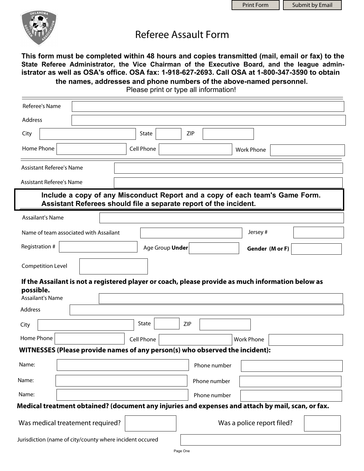

## Referee Assault Form

**This form must be completed within 48 hours and copies transmitted (mail, email or fax) to the State Referee Administrator, the Vice Chairman of the Executive Board, and the league administrator as well as OSA's office. OSA fax: 1-918-627-2693. Call OSA at 1-800-347-3590 to obtain the names, addresses and phone numbers of the above-named personnel.**

Please print or type all information!

| Referee's Name                                                                                    |                                                                                                                                                   |            |                 |              |                            |  |
|---------------------------------------------------------------------------------------------------|---------------------------------------------------------------------------------------------------------------------------------------------------|------------|-----------------|--------------|----------------------------|--|
| Address                                                                                           |                                                                                                                                                   |            |                 |              |                            |  |
| City                                                                                              |                                                                                                                                                   | State      |                 | ZIP          |                            |  |
| Home Phone                                                                                        |                                                                                                                                                   | Cell Phone |                 |              | <b>Work Phone</b>          |  |
| <b>Assistant Referee's Name</b>                                                                   |                                                                                                                                                   |            |                 |              |                            |  |
| <b>Assistant Referee's Name</b>                                                                   |                                                                                                                                                   |            |                 |              |                            |  |
|                                                                                                   | Include a copy of any Misconduct Report and a copy of each team's Game Form.<br>Assistant Referees should file a separate report of the incident. |            |                 |              |                            |  |
| Assailant's Name                                                                                  |                                                                                                                                                   |            |                 |              |                            |  |
| Name of team associated with Assailant                                                            |                                                                                                                                                   |            |                 |              | Jersey#                    |  |
| Registration #                                                                                    |                                                                                                                                                   |            | Age Group Under |              | Gender (M or F)            |  |
| <b>Competition Level</b>                                                                          |                                                                                                                                                   |            |                 |              |                            |  |
| possible.<br><b>Assailant's Name</b>                                                              | If the Assailant is not a registered player or coach, please provide as much information below as                                                 |            |                 |              |                            |  |
| Address                                                                                           |                                                                                                                                                   |            |                 |              |                            |  |
| City                                                                                              |                                                                                                                                                   | State      | <b>ZIP</b>      |              |                            |  |
| Home Phone                                                                                        |                                                                                                                                                   | Cell Phone |                 |              | <b>Work Phone</b>          |  |
| WITNESSES (Please provide names of any person(s) who observed the incident):                      |                                                                                                                                                   |            |                 |              |                            |  |
| Name:                                                                                             |                                                                                                                                                   |            |                 | Phone number |                            |  |
| Name:                                                                                             |                                                                                                                                                   |            |                 | Phone number |                            |  |
| Name:                                                                                             |                                                                                                                                                   |            |                 | Phone number |                            |  |
| Medical treatment obtained? (document any injuries and expenses and attach by mail, scan, or fax. |                                                                                                                                                   |            |                 |              |                            |  |
| Was medical treatement required?                                                                  |                                                                                                                                                   |            |                 |              | Was a police report filed? |  |
| Jurisdiction (name of city/county where incident occured                                          |                                                                                                                                                   |            |                 |              |                            |  |